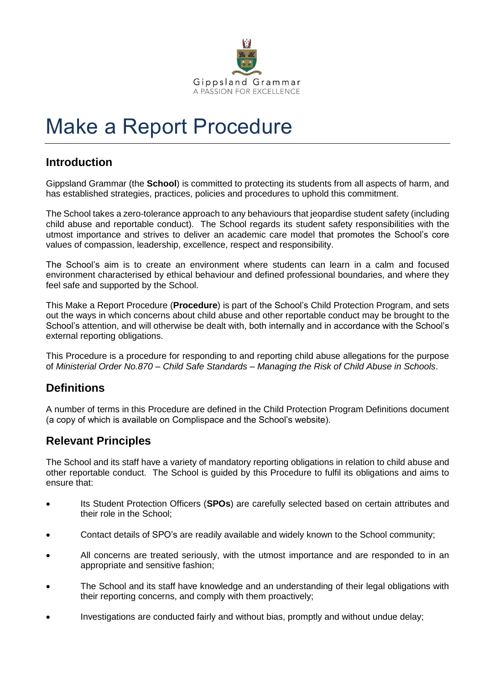

# Make a Report Procedure

# **Introduction**

Gippsland Grammar (the **School**) is committed to protecting its students from all aspects of harm, and has established strategies, practices, policies and procedures to uphold this commitment.

The School takes a zero-tolerance approach to any behaviours that jeopardise student safety (including child abuse and reportable conduct). The School regards its student safety responsibilities with the utmost importance and strives to deliver an academic care model that promotes the School's core values of compassion, leadership, excellence, respect and responsibility.

The School's aim is to create an environment where students can learn in a calm and focused environment characterised by ethical behaviour and defined professional boundaries, and where they feel safe and supported by the School.

This Make a Report Procedure (**Procedure**) is part of the School's Child Protection Program, and sets out the ways in which concerns about child abuse and other reportable conduct may be brought to the School's attention, and will otherwise be dealt with, both internally and in accordance with the School's external reporting obligations.

This Procedure is a procedure for responding to and reporting child abuse allegations for the purpose of *Ministerial Order No.870 – Child Safe Standards – Managing the Risk of Child Abuse in Schools*.

# **Definitions**

A number of terms in this Procedure are defined in the Child Protection Program Definitions document (a copy of which is available on Complispace and the School's website).

## **Relevant Principles**

The School and its staff have a variety of mandatory reporting obligations in relation to child abuse and other reportable conduct. The School is guided by this Procedure to fulfil its obligations and aims to ensure that:

- Its Student Protection Officers (**SPOs**) are carefully selected based on certain attributes and their role in the School;
- Contact details of SPO's are readily available and widely known to the School community;
- All concerns are treated seriously, with the utmost importance and are responded to in an appropriate and sensitive fashion;
- The School and its staff have knowledge and an understanding of their legal obligations with their reporting concerns, and comply with them proactively;
- Investigations are conducted fairly and without bias, promptly and without undue delay;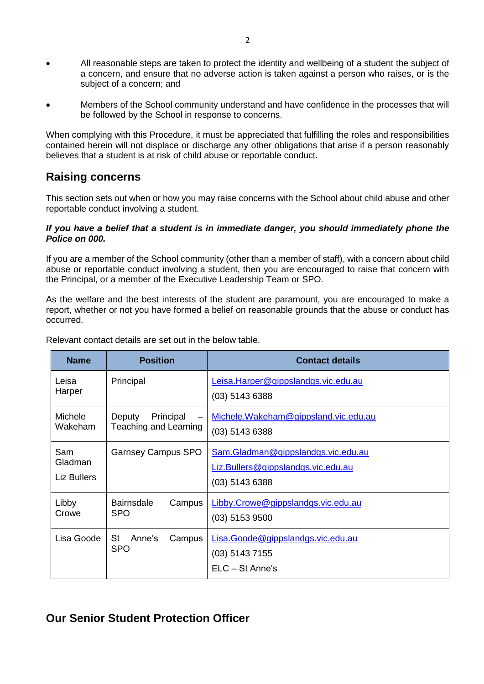- All reasonable steps are taken to protect the identity and wellbeing of a student the subject of a concern, and ensure that no adverse action is taken against a person who raises, or is the subject of a concern; and
- Members of the School community understand and have confidence in the processes that will be followed by the School in response to concerns.

When complying with this Procedure, it must be appreciated that fulfilling the roles and responsibilities contained herein will not displace or discharge any other obligations that arise if a person reasonably believes that a student is at risk of child abuse or reportable conduct.

## **Raising concerns**

This section sets out when or how you may raise concerns with the School about child abuse and other reportable conduct involving a student.

#### *If you have a belief that a student is in immediate danger, you should immediately phone the Police on 000.*

If you are a member of the School community (other than a member of staff), with a concern about child abuse or reportable conduct involving a student, then you are encouraged to raise that concern with the Principal, or a member of the Executive Leadership Team or SPO.

As the welfare and the best interests of the student are paramount, you are encouraged to make a report, whether or not you have formed a belief on reasonable grounds that the abuse or conduct has occurred.

| <b>Name</b>                   | <b>Position</b>                              | <b>Contact details</b>                                                                       |
|-------------------------------|----------------------------------------------|----------------------------------------------------------------------------------------------|
| Leisa<br>Harper               | Principal                                    | Leisa. Harper@gippslandgs.vic.edu.au<br>$(03)$ 5143 6388                                     |
| Michele<br>Wakeham            | Principal<br>Deputy<br>Teaching and Learning | Michele.Wakeham@gippsland.vic.edu.au<br>$(03)$ 5143 6388                                     |
| Sam<br>Gladman<br>Liz Bullers | <b>Garnsey Campus SPO</b>                    | Sam.Gladman@gippslandgs.vic.edu.au<br>Liz.Bullers@gippslandgs.vic.edu.au<br>$(03)$ 5143 6388 |
| Libby<br>Crowe                | <b>Bairnsdale</b><br>Campus<br><b>SPO</b>    | Libby.Crowe@gippslandgs.vic.edu.au<br>$(03)$ 5153 9500                                       |
| Lisa Goode                    | <b>St</b><br>Anne's<br>Campus<br><b>SPO</b>  | Lisa.Goode@gippslandgs.vic.edu.au<br>$(03)$ 5143 7155<br>$ELC - St Anne's$                   |

Relevant contact details are set out in the below table.

## **Our Senior Student Protection Officer**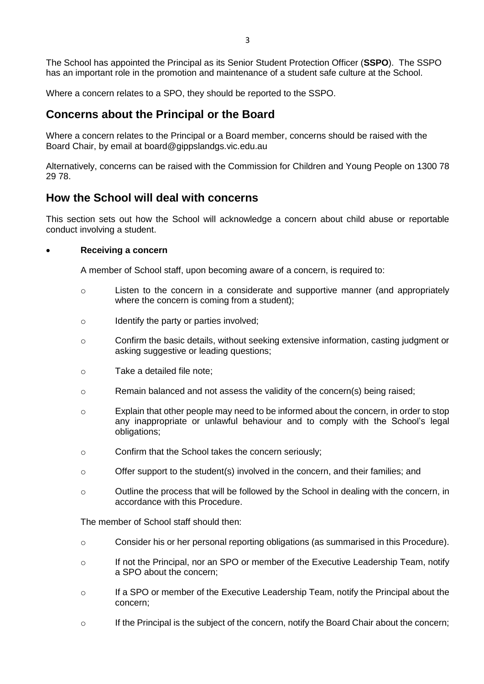The School has appointed the Principal as its Senior Student Protection Officer (**SSPO**). The SSPO has an important role in the promotion and maintenance of a student safe culture at the School.

Where a concern relates to a SPO, they should be reported to the SSPO.

## **Concerns about the Principal or the Board**

Where a concern relates to the Principal or a Board member, concerns should be raised with the Board Chair, by email at board@gippslandgs.vic.edu.au

Alternatively, concerns can be raised with the Commission for Children and Young People on 1300 78 29 78.

## **How the School will deal with concerns**

This section sets out how the School will acknowledge a concern about child abuse or reportable conduct involving a student.

#### **Receiving a concern**

A member of School staff, upon becoming aware of a concern, is required to:

- o Listen to the concern in a considerate and supportive manner (and appropriately where the concern is coming from a student);
- o Identify the party or parties involved;
- o Confirm the basic details, without seeking extensive information, casting judgment or asking suggestive or leading questions;
- o Take a detailed file note;
- $\circ$  Remain balanced and not assess the validity of the concern(s) being raised;
- o Explain that other people may need to be informed about the concern, in order to stop any inappropriate or unlawful behaviour and to comply with the School's legal obligations;
- o Confirm that the School takes the concern seriously;
- o Offer support to the student(s) involved in the concern, and their families; and
- o Outline the process that will be followed by the School in dealing with the concern, in accordance with this Procedure.

The member of School staff should then:

- o Consider his or her personal reporting obligations (as summarised in this Procedure).
- o If not the Principal, nor an SPO or member of the Executive Leadership Team, notify a SPO about the concern;
- o If a SPO or member of the Executive Leadership Team, notify the Principal about the concern;
- $\circ$  If the Principal is the subject of the concern, notify the Board Chair about the concern;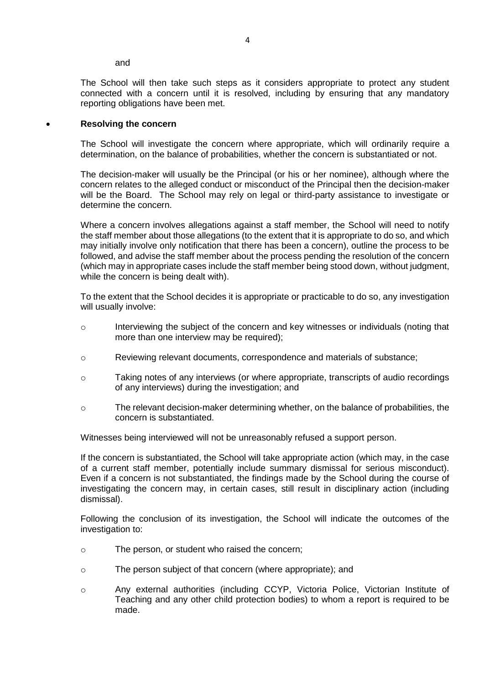and

The School will then take such steps as it considers appropriate to protect any student connected with a concern until it is resolved, including by ensuring that any mandatory reporting obligations have been met.

#### **Resolving the concern**

The School will investigate the concern where appropriate, which will ordinarily require a determination, on the balance of probabilities, whether the concern is substantiated or not.

The decision-maker will usually be the Principal (or his or her nominee), although where the concern relates to the alleged conduct or misconduct of the Principal then the decision-maker will be the Board. The School may rely on legal or third-party assistance to investigate or determine the concern.

Where a concern involves allegations against a staff member, the School will need to notify the staff member about those allegations (to the extent that it is appropriate to do so, and which may initially involve only notification that there has been a concern), outline the process to be followed, and advise the staff member about the process pending the resolution of the concern (which may in appropriate cases include the staff member being stood down, without judgment, while the concern is being dealt with).

To the extent that the School decides it is appropriate or practicable to do so, any investigation will usually involve:

- o Interviewing the subject of the concern and key witnesses or individuals (noting that more than one interview may be required);
- o Reviewing relevant documents, correspondence and materials of substance;
- o Taking notes of any interviews (or where appropriate, transcripts of audio recordings of any interviews) during the investigation; and
- o The relevant decision-maker determining whether, on the balance of probabilities, the concern is substantiated.

Witnesses being interviewed will not be unreasonably refused a support person.

If the concern is substantiated, the School will take appropriate action (which may, in the case of a current staff member, potentially include summary dismissal for serious misconduct). Even if a concern is not substantiated, the findings made by the School during the course of investigating the concern may, in certain cases, still result in disciplinary action (including dismissal).

Following the conclusion of its investigation, the School will indicate the outcomes of the investigation to:

- o The person, or student who raised the concern;
- o The person subject of that concern (where appropriate); and
- o Any external authorities (including CCYP, Victoria Police, Victorian Institute of Teaching and any other child protection bodies) to whom a report is required to be made.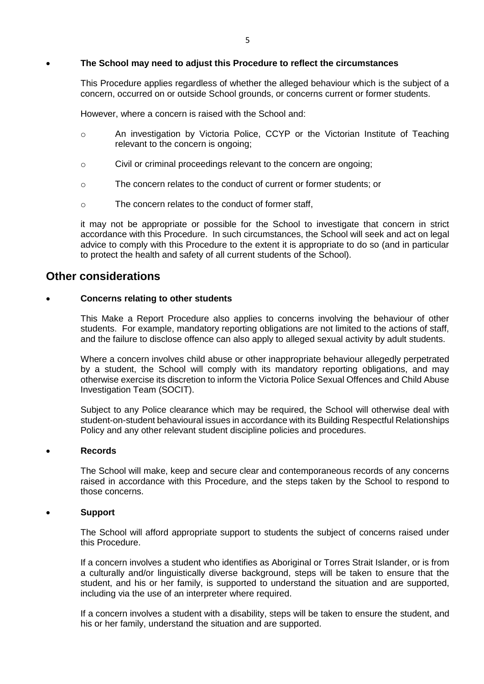#### **The School may need to adjust this Procedure to reflect the circumstances**

This Procedure applies regardless of whether the alleged behaviour which is the subject of a concern, occurred on or outside School grounds, or concerns current or former students.

However, where a concern is raised with the School and:

- o An investigation by Victoria Police, CCYP or the Victorian Institute of Teaching relevant to the concern is ongoing;
- o Civil or criminal proceedings relevant to the concern are ongoing;
- o The concern relates to the conduct of current or former students; or
- o The concern relates to the conduct of former staff,

it may not be appropriate or possible for the School to investigate that concern in strict accordance with this Procedure. In such circumstances, the School will seek and act on legal advice to comply with this Procedure to the extent it is appropriate to do so (and in particular to protect the health and safety of all current students of the School).

### **Other considerations**

#### **Concerns relating to other students**

This Make a Report Procedure also applies to concerns involving the behaviour of other students. For example, mandatory reporting obligations are not limited to the actions of staff, and the failure to disclose offence can also apply to alleged sexual activity by adult students.

Where a concern involves child abuse or other inappropriate behaviour allegedly perpetrated by a student, the School will comply with its mandatory reporting obligations, and may otherwise exercise its discretion to inform the Victoria Police Sexual Offences and Child Abuse Investigation Team (SOCIT).

Subject to any Police clearance which may be required, the School will otherwise deal with student-on-student behavioural issues in accordance with its Building Respectful Relationships Policy and any other relevant student discipline policies and procedures.

#### **Records**

The School will make, keep and secure clear and contemporaneous records of any concerns raised in accordance with this Procedure, and the steps taken by the School to respond to those concerns.

#### **Support**

The School will afford appropriate support to students the subject of concerns raised under this Procedure.

If a concern involves a student who identifies as Aboriginal or Torres Strait Islander, or is from a culturally and/or linguistically diverse background, steps will be taken to ensure that the student, and his or her family, is supported to understand the situation and are supported, including via the use of an interpreter where required.

If a concern involves a student with a disability, steps will be taken to ensure the student, and his or her family, understand the situation and are supported.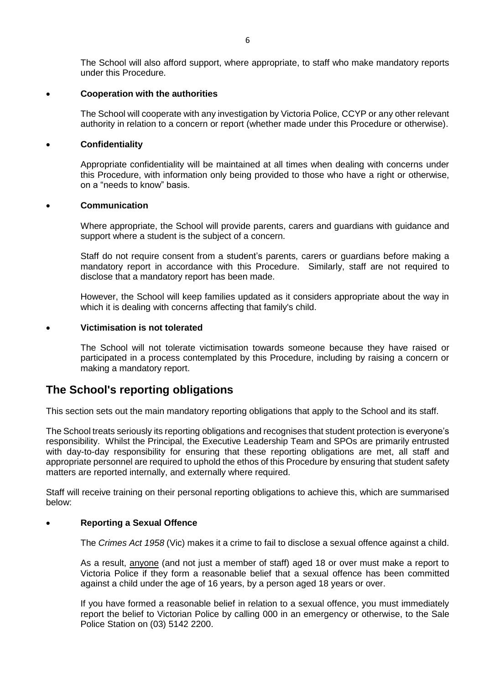The School will also afford support, where appropriate, to staff who make mandatory reports under this Procedure.

#### **Cooperation with the authorities**

The School will cooperate with any investigation by Victoria Police, CCYP or any other relevant authority in relation to a concern or report (whether made under this Procedure or otherwise).

#### **Confidentiality**

Appropriate confidentiality will be maintained at all times when dealing with concerns under this Procedure, with information only being provided to those who have a right or otherwise, on a "needs to know" basis.

#### **Communication**

Where appropriate, the School will provide parents, carers and guardians with guidance and support where a student is the subject of a concern.

Staff do not require consent from a student's parents, carers or guardians before making a mandatory report in accordance with this Procedure. Similarly, staff are not required to disclose that a mandatory report has been made.

However, the School will keep families updated as it considers appropriate about the way in which it is dealing with concerns affecting that family's child.

#### **Victimisation is not tolerated**

The School will not tolerate victimisation towards someone because they have raised or participated in a process contemplated by this Procedure, including by raising a concern or making a mandatory report.

## **The School's reporting obligations**

This section sets out the main mandatory reporting obligations that apply to the School and its staff.

The School treats seriously its reporting obligations and recognises that student protection is everyone's responsibility. Whilst the Principal, the Executive Leadership Team and SPOs are primarily entrusted with day-to-day responsibility for ensuring that these reporting obligations are met, all staff and appropriate personnel are required to uphold the ethos of this Procedure by ensuring that student safety matters are reported internally, and externally where required.

Staff will receive training on their personal reporting obligations to achieve this, which are summarised below:

#### **Reporting a Sexual Offence**

The *Crimes Act 1958* (Vic) makes it a crime to fail to disclose a sexual offence against a child.

As a result, anyone (and not just a member of staff) aged 18 or over must make a report to Victoria Police if they form a reasonable belief that a sexual offence has been committed against a child under the age of 16 years, by a person aged 18 years or over.

If you have formed a reasonable belief in relation to a sexual offence, you must immediately report the belief to Victorian Police by calling 000 in an emergency or otherwise, to the Sale Police Station on (03) 5142 2200.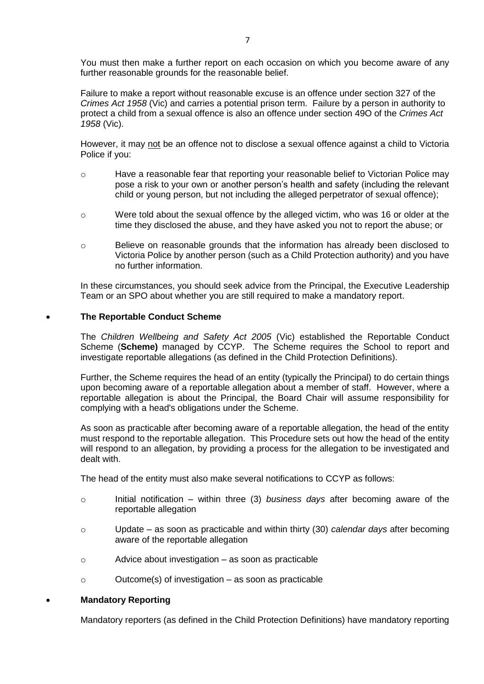You must then make a further report on each occasion on which you become aware of any further reasonable grounds for the reasonable belief.

Failure to make a report without reasonable excuse is an offence under section 327 of the *Crimes Act 1958* (Vic) and carries a potential prison term. Failure by a person in authority to protect a child from a sexual offence is also an offence under section 49O of the *Crimes Act 1958* (Vic).

However, it may not be an offence not to disclose a sexual offence against a child to Victoria Police if you:

- o Have a reasonable fear that reporting your reasonable belief to Victorian Police may pose a risk to your own or another person's health and safety (including the relevant child or young person, but not including the alleged perpetrator of sexual offence);
- o Were told about the sexual offence by the alleged victim, who was 16 or older at the time they disclosed the abuse, and they have asked you not to report the abuse; or
- o Believe on reasonable grounds that the information has already been disclosed to Victoria Police by another person (such as a Child Protection authority) and you have no further information.

In these circumstances, you should seek advice from the Principal, the Executive Leadership Team or an SPO about whether you are still required to make a mandatory report.

#### **The Reportable Conduct Scheme**

The *Children Wellbeing and Safety Act 2005* (Vic) established the Reportable Conduct Scheme (**Scheme)** managed by CCYP. The Scheme requires the School to report and investigate reportable allegations (as defined in the Child Protection Definitions).

Further, the Scheme requires the head of an entity (typically the Principal) to do certain things upon becoming aware of a reportable allegation about a member of staff. However, where a reportable allegation is about the Principal, the Board Chair will assume responsibility for complying with a head's obligations under the Scheme.

As soon as practicable after becoming aware of a reportable allegation, the head of the entity must respond to the reportable allegation. This Procedure sets out how the head of the entity will respond to an allegation, by providing a process for the allegation to be investigated and dealt with.

The head of the entity must also make several notifications to CCYP as follows:

- o Initial notification within three (3) *business days* after becoming aware of the reportable allegation
- o Update as soon as practicable and within thirty (30) *calendar days* after becoming aware of the reportable allegation
- o Advice about investigation as soon as practicable
- o Outcome(s) of investigation as soon as practicable

#### **Mandatory Reporting**

Mandatory reporters (as defined in the Child Protection Definitions) have mandatory reporting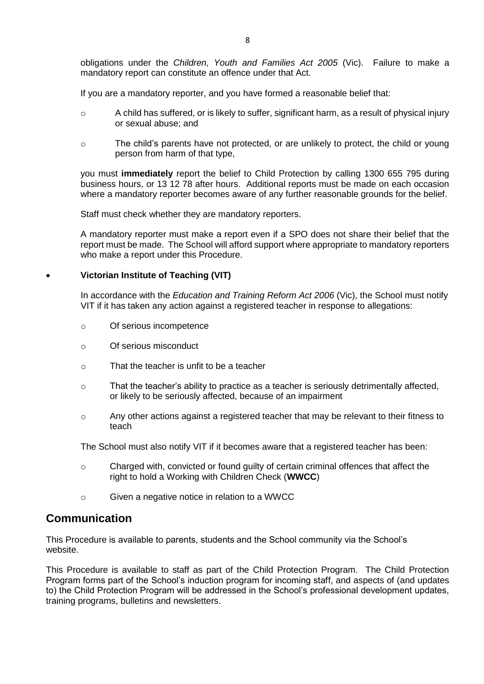obligations under the *Children, Youth and Families Act 2005* (Vic). Failure to make a mandatory report can constitute an offence under that Act.

If you are a mandatory reporter, and you have formed a reasonable belief that:

- $\circ$  A child has suffered, or is likely to suffer, significant harm, as a result of physical injury or sexual abuse; and
- o The child's parents have not protected, or are unlikely to protect, the child or young person from harm of that type,

you must **immediately** report the belief to Child Protection by calling 1300 655 795 during business hours, or 13 12 78 after hours. Additional reports must be made on each occasion where a mandatory reporter becomes aware of any further reasonable grounds for the belief.

Staff must check whether they are mandatory reporters.

A mandatory reporter must make a report even if a SPO does not share their belief that the report must be made. The School will afford support where appropriate to mandatory reporters who make a report under this Procedure.

#### **Victorian Institute of Teaching (VIT)**

In accordance with the *Education and Training Reform Act 2006* (Vic), the School must notify VIT if it has taken any action against a registered teacher in response to allegations:

- o Of serious incompetence
- o Of serious misconduct
- o That the teacher is unfit to be a teacher
- o That the teacher's ability to practice as a teacher is seriously detrimentally affected, or likely to be seriously affected, because of an impairment
- $\circ$  Any other actions against a registered teacher that may be relevant to their fitness to teach

The School must also notify VIT if it becomes aware that a registered teacher has been:

- $\circ$  Charged with, convicted or found guilty of certain criminal offences that affect the right to hold a Working with Children Check (**WWCC**)
- o Given a negative notice in relation to a WWCC

## **Communication**

This Procedure is available to parents, students and the School community via the School's website.

This Procedure is available to staff as part of the Child Protection Program. The Child Protection Program forms part of the School's induction program for incoming staff, and aspects of (and updates to) the Child Protection Program will be addressed in the School's professional development updates, training programs, bulletins and newsletters.